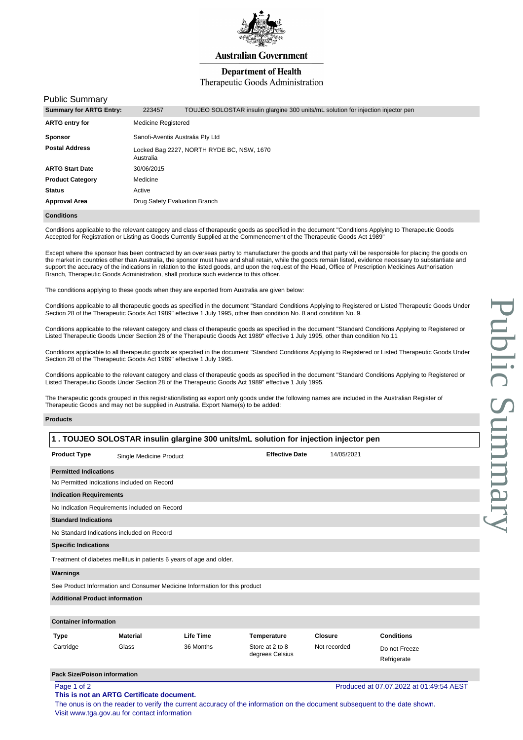

**Australian Government** 

## **Department of Health**

### Therapeutic Goods Administration

### Public Summary

| <b>Summary for ARTG Entry:</b> | 223457                                                 | TOUJEO SOLOSTAR insulin glargine 300 units/mL solution for injection injector pen |  |  |  |
|--------------------------------|--------------------------------------------------------|-----------------------------------------------------------------------------------|--|--|--|
| <b>ARTG entry for</b>          | <b>Medicine Registered</b>                             |                                                                                   |  |  |  |
| <b>Sponsor</b>                 | Sanofi-Aventis Australia Pty Ltd                       |                                                                                   |  |  |  |
| <b>Postal Address</b>          | Locked Bag 2227, NORTH RYDE BC, NSW, 1670<br>Australia |                                                                                   |  |  |  |
| <b>ARTG Start Date</b>         | 30/06/2015                                             |                                                                                   |  |  |  |
| <b>Product Category</b>        | Medicine                                               |                                                                                   |  |  |  |
| <b>Status</b>                  | Active                                                 |                                                                                   |  |  |  |
| <b>Approval Area</b>           | Drug Safety Evaluation Branch                          |                                                                                   |  |  |  |
| Conditions                     |                                                        |                                                                                   |  |  |  |

Conditions applicable to the relevant category and class of therapeutic goods as specified in the document "Conditions Applying to Therapeutic Goods Accepted for Registration or Listing as Goods Currently Supplied at the Commencement of the Therapeutic Goods Act 1989"

Except where the sponsor has been contracted by an overseas partry to manufacturer the goods and that party will be responsible for placing the goods on the market in countries other than Australia, the sponsor must have and shall retain, while the goods remain listed, evidence necessary to substantiate and support the accuracy of the indications in relation to the listed goods, and upon the request of the Head, Office of Prescription Medicines Authorisation Branch, Therapeutic Goods Administration, shall produce such evidence to this officer.

The conditions applying to these goods when they are exported from Australia are given below:

Conditions applicable to all therapeutic goods as specified in the document "Standard Conditions Applying to Registered or Listed Therapeutic Goods Under Section 28 of the Therapeutic Goods Act 1989" effective 1 July 1995, other than condition No. 8 and condition No. 9.

Conditions applicable to the relevant category and class of therapeutic goods as specified in the document "Standard Conditions Applying to Registered or Listed Therapeutic Goods Under Section 28 of the Therapeutic Goods Act 1989" effective 1 July 1995, other than condition No.11

Conditions applicable to all therapeutic goods as specified in the document "Standard Conditions Applying to Registered or Listed Therapeutic Goods Under Section 28 of the Therapeutic Goods Act 1989" effective 1 July 1995.

Conditions applicable to the relevant category and class of therapeutic goods as specified in the document "Standard Conditions Applying to Registered or Listed Therapeutic Goods Under Section 28 of the Therapeutic Goods Act 1989" effective 1 July 1995.

The therapeutic goods grouped in this registration/listing as export only goods under the following names are included in the Australian Register of Therapeutic Goods and may not be supplied in Australia. Export Name(s) to be added:

#### **Products**

| 1. TOUJEO SOLOSTAR insulin glargine 300 units/mL solution for injection injector pen |                                               |                                                                            |                                    |                |                                         |  |
|--------------------------------------------------------------------------------------|-----------------------------------------------|----------------------------------------------------------------------------|------------------------------------|----------------|-----------------------------------------|--|
| <b>Product Type</b>                                                                  | Single Medicine Product                       |                                                                            | <b>Effective Date</b>              | 14/05/2021     |                                         |  |
| <b>Permitted Indications</b>                                                         |                                               |                                                                            |                                    |                |                                         |  |
|                                                                                      | No Permitted Indications included on Record   |                                                                            |                                    |                |                                         |  |
| <b>Indication Requirements</b>                                                       |                                               |                                                                            |                                    |                |                                         |  |
|                                                                                      | No Indication Requirements included on Record |                                                                            |                                    |                |                                         |  |
| <b>Standard Indications</b>                                                          |                                               |                                                                            |                                    |                |                                         |  |
| No Standard Indications included on Record                                           |                                               |                                                                            |                                    |                |                                         |  |
| <b>Specific Indications</b>                                                          |                                               |                                                                            |                                    |                |                                         |  |
|                                                                                      |                                               | Treatment of diabetes mellitus in patients 6 years of age and older.       |                                    |                |                                         |  |
| Warnings                                                                             |                                               |                                                                            |                                    |                |                                         |  |
|                                                                                      |                                               | See Product Information and Consumer Medicine Information for this product |                                    |                |                                         |  |
| <b>Additional Product information</b>                                                |                                               |                                                                            |                                    |                |                                         |  |
| <b>Container information</b>                                                         |                                               |                                                                            |                                    |                |                                         |  |
| Type                                                                                 | <b>Material</b>                               | <b>Life Time</b>                                                           | Temperature                        | <b>Closure</b> | <b>Conditions</b>                       |  |
| Cartridge                                                                            | Glass                                         | 36 Months                                                                  | Store at 2 to 8<br>degrees Celsius | Not recorded   | Do not Freeze<br>Refrigerate            |  |
| <b>Pack Size/Poison information</b>                                                  |                                               |                                                                            |                                    |                |                                         |  |
| Page 1 of 2                                                                          | This is not an ARTG Certificate document.     |                                                                            |                                    |                | Produced at 07.07.2022 at 01:49:54 AEST |  |

The onus is on the reader to verify the current accuracy of the information on the document subsequent to the date shown. Visit www.tga.gov.au for contact information